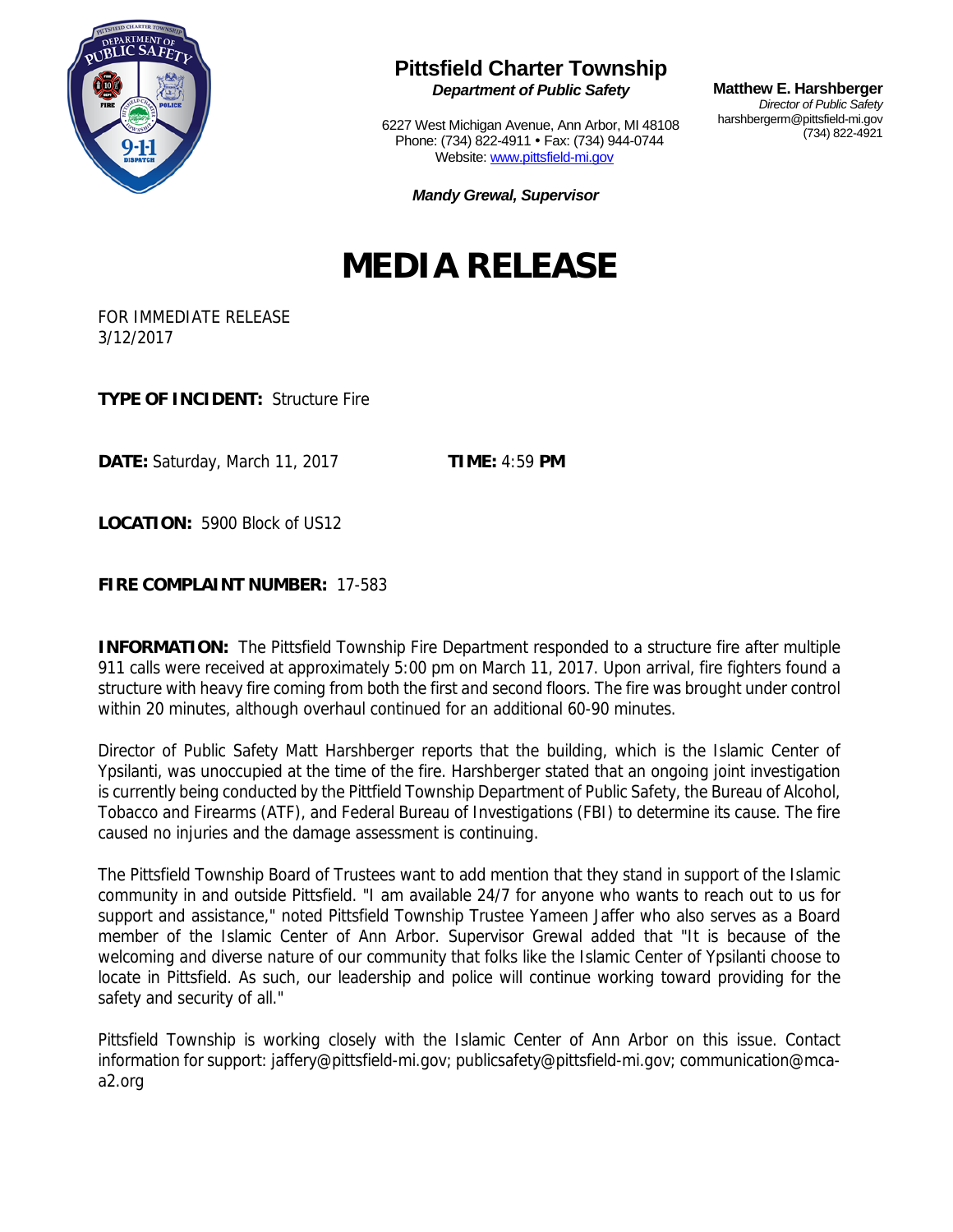

## **Pittsfield Charter Township**

*Department of Public Safety* 

6227 West Michigan Avenue, Ann Arbor, MI 48108 Phone: (734) 822-4911 • Fax: (734) 944-0744 Website: www.pittsfield-mi.gov

**Matthew E. Harshberger**  *Director of Public Safety*  harshbergerm@pittsfield-mi.gov (734) 822-4921

*Mandy Grewal, Supervisor*

## **MEDIA RELEASE**

FOR IMMEDIATE RELEASE 3/12/2017

**TYPE OF INCIDENT:** Structure Fire

**DATE:** Saturday, March 11, 2017 **TIME:** 4:59 **PM**

**LOCATION:** 5900 Block of US12

**FIRE COMPLAINT NUMBER:** 17-583

**INFORMATION:** The Pittsfield Township Fire Department responded to a structure fire after multiple 911 calls were received at approximately 5:00 pm on March 11, 2017. Upon arrival, fire fighters found a structure with heavy fire coming from both the first and second floors. The fire was brought under control within 20 minutes, although overhaul continued for an additional 60-90 minutes.

Director of Public Safety Matt Harshberger reports that the building, which is the Islamic Center of Ypsilanti, was unoccupied at the time of the fire. Harshberger stated that an ongoing joint investigation is currently being conducted by the Pittfield Township Department of Public Safety, the Bureau of Alcohol, Tobacco and Firearms (ATF), and Federal Bureau of Investigations (FBI) to determine its cause. The fire caused no injuries and the damage assessment is continuing.

The Pittsfield Township Board of Trustees want to add mention that they stand in support of the Islamic community in and outside Pittsfield. "I am available 24/7 for anyone who wants to reach out to us for support and assistance," noted Pittsfield Township Trustee Yameen Jaffer who also serves as a Board member of the Islamic Center of Ann Arbor. Supervisor Grewal added that "It is because of the welcoming and diverse nature of our community that folks like the Islamic Center of Ypsilanti choose to locate in Pittsfield. As such, our leadership and police will continue working toward providing for the safety and security of all."

Pittsfield Township is working closely with the Islamic Center of Ann Arbor on this issue. Contact information for support: jaffery@pittsfield-mi.gov; publicsafety@pittsfield-mi.gov; communication@mcaa2.org